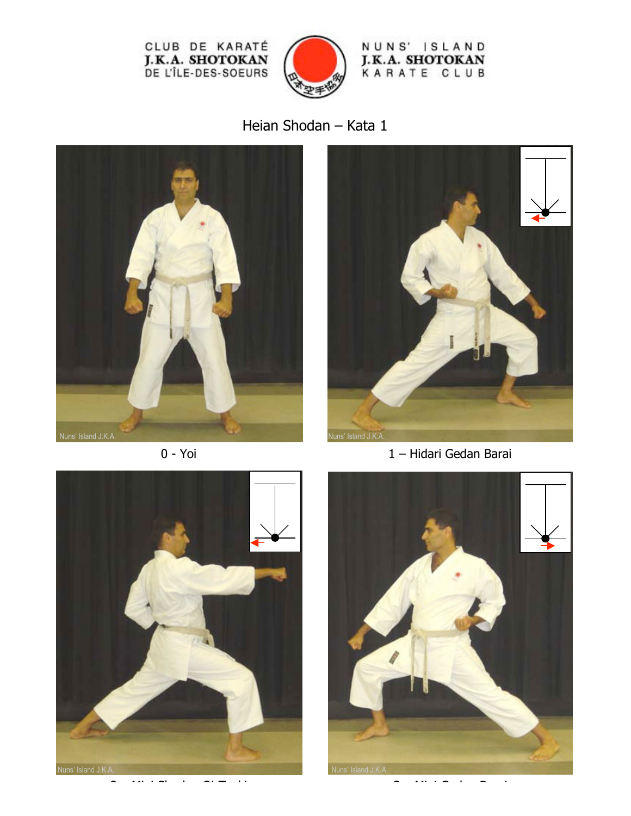

NUNS' ISLAND **J.K.A. SHOTOKAN**<br>KARATE CLUB

Heian Shodan – Kata 1







0 - Yoi 1 – Hidari Gedan Barai



2 – Migi Shudan Oi-Tzuki 3 – Migi Gedan Barai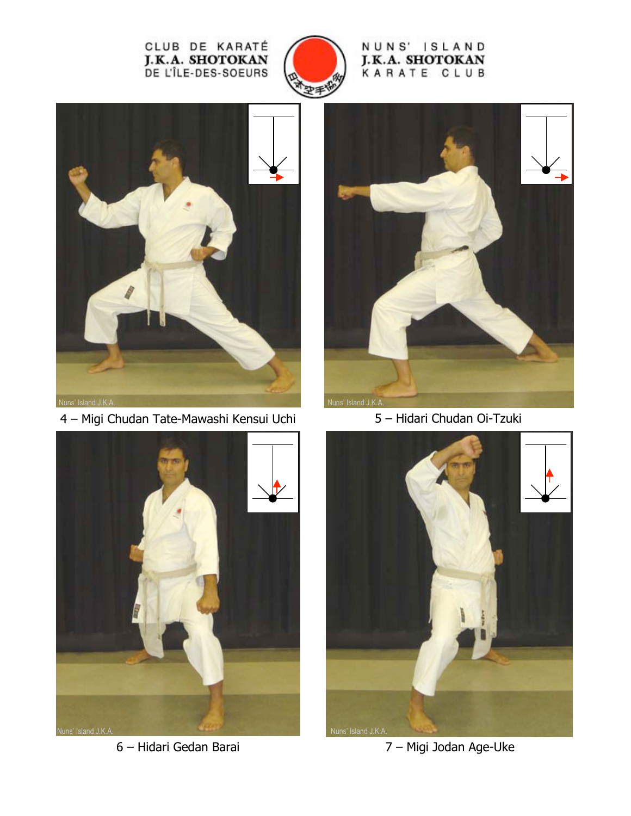

## NUNS' ISLAND J.K.A. SHOTOKAN KARATE CLUB



4 – Migi Chudan Tate-Mawashi Kensui Uchi 5 – Hidari Chudan Oi-Tzuki







6 – Hidari Gedan Barai 7 – Migi Jodan Age-Uke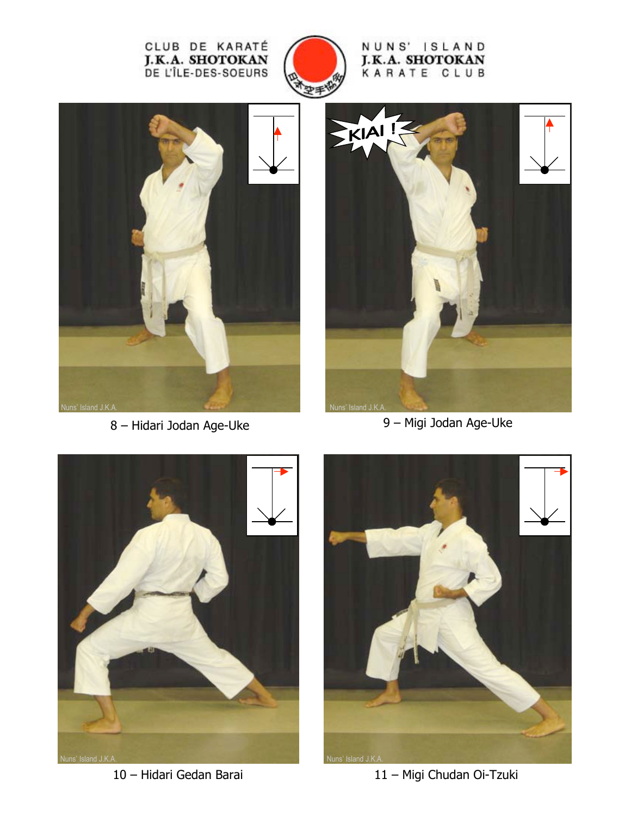

NUNS' ISLAND J.K.A. SHOTOKAN KARATE CLUB



8 – Hidari Jodan Age-Uke 9 – Migi Jodan Age-Uke







10 – Hidari Gedan Barai 11 – Migi Chudan Oi-Tzuki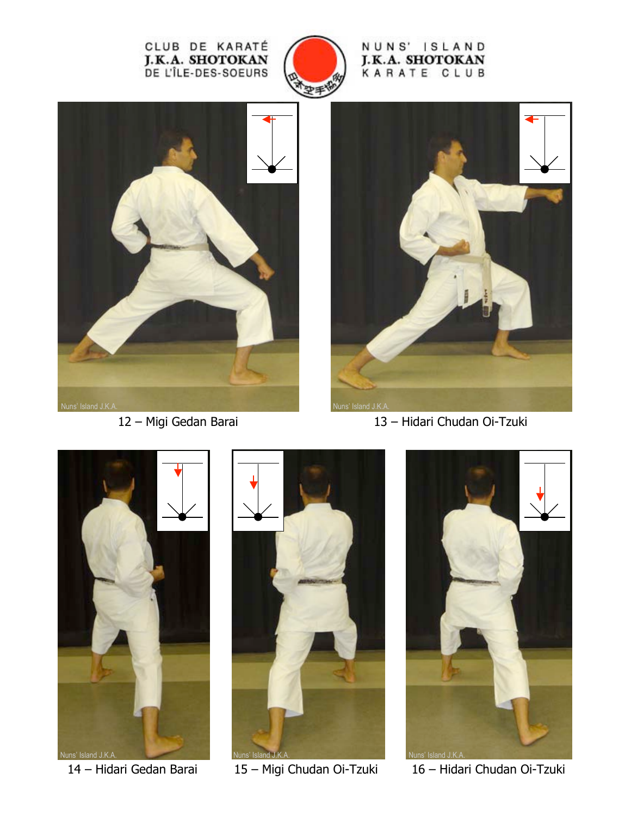

NUNS' ISLAND J.K.A. SHOTOKAN KARATE CLUB





12 – Migi Gedan Barai 13 – Hidari Chudan Oi-Tzuki







14 – Hidari Gedan Barai 15 – Migi Chudan Oi-Tzuki 16 – Hidari Chudan Oi-Tzuki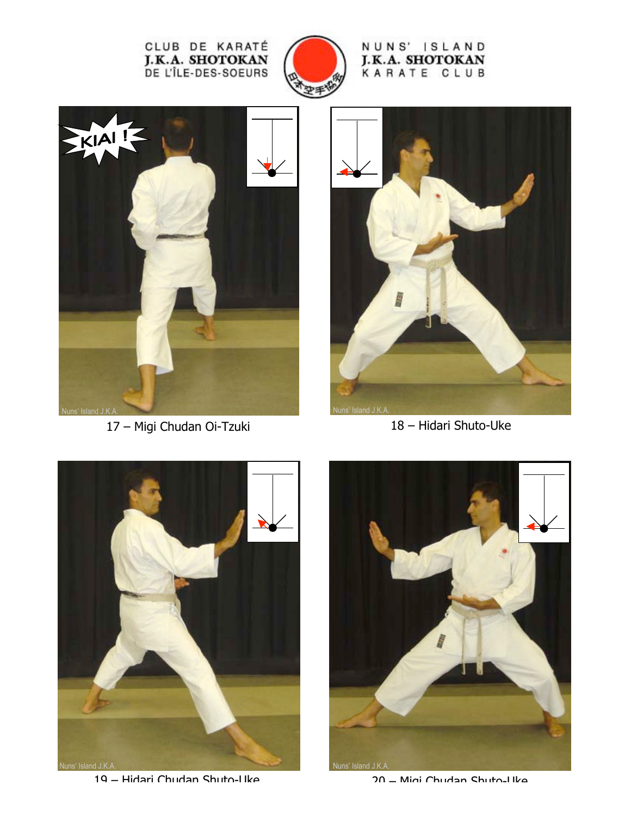

NUNS' ISLAND J.K.A. SHOTOKAN KARATE CLUB



17 – Migi Chudan Oi-Tzuki 18 – Hidari Shuto-Uke





19 – Hidari Chudan Shuto-Uke 20 – Migi Chudan Shuto-Uke